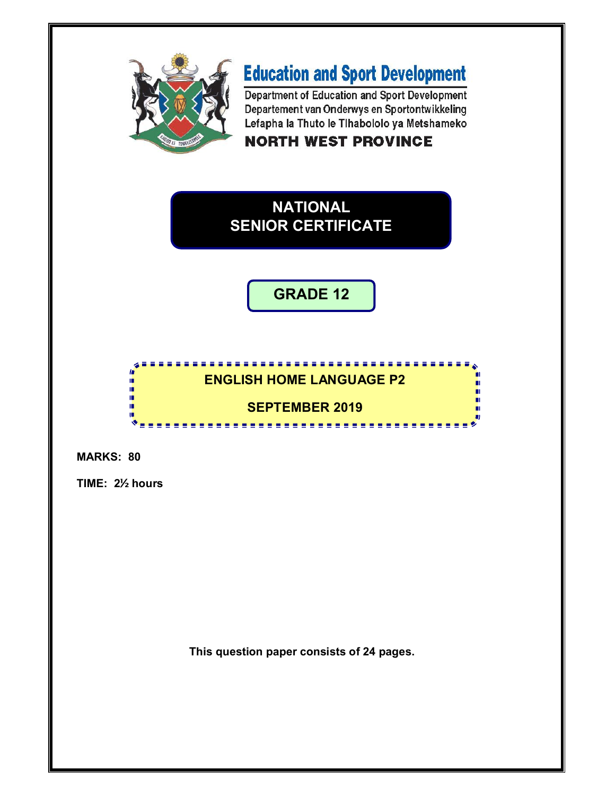

# **Education and Sport Development**

Department of Education and Sport Development Departement van Onderwys en Sportontwikkeling Lefapha la Thuto le Tihabololo ya Metshameko

## **NORTH WEST PROVINCE**

## **NATIONAL SENIOR CERTIFICATE**

**GRADE 12**

## **ENGLISH HOME LANGUAGE P2**

. . . . . . . . . . . . . . .

.......

## **SEPTEMBER 2019**

**MARKS: 80**

**TIME: 2**½ **hours**

IÉ ۱<mark>۱</mark> ú, IÌ. ú

**This question paper consists of 24 pages.**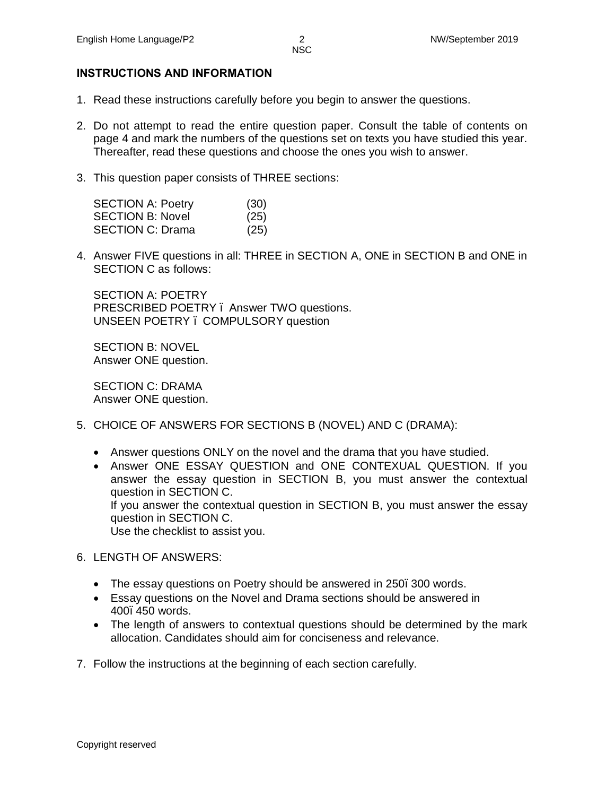### **INSTRUCTIONS AND INFORMATION**

- 1. Read these instructions carefully before you begin to answer the questions.
- 2. Do not attempt to read the entire question paper. Consult the table of contents on page 4 and mark the numbers of the questions set on texts you have studied this year. Thereafter, read these questions and choose the ones you wish to answer.
- 3. This question paper consists of THREE sections:

| <b>SECTION A: Poetry</b> | (30) |
|--------------------------|------|
| <b>SECTION B: Novel</b>  | (25) |
| <b>SECTION C: Drama</b>  | (25) |

4. Answer FIVE questions in all: THREE in SECTION A, ONE in SECTION B and ONE in SECTION C as follows:

SECTION A: POETRY PRESCRIBED POETRY – Answer TWO questions. UNSEEN POETRY – COMPULSORY question

SECTION B: NOVEL Answer ONE question.

SECTION C: DRAMA Answer ONE question.

- 5. CHOICE OF ANSWERS FOR SECTIONS B (NOVEL) AND C (DRAMA):
	- Answer questions ONLY on the novel and the drama that you have studied.
	- · Answer ONE ESSAY QUESTION and ONE CONTEXUAL QUESTION. If you answer the essay question in SECTION B, you must answer the contextual question in SECTION C. If you answer the contextual question in SECTION B, you must answer the essay question in SECTION C. Use the checklist to assist you.
- 6. LENGTH OF ANSWERS:
	- The essay questions on Poetry should be answered in 250. 300 words.
	- · Essay questions on the Novel and Drama sections should be answered in 400. 450 words.
	- · The length of answers to contextual questions should be determined by the mark allocation. Candidates should aim for conciseness and relevance.
- 7. Follow the instructions at the beginning of each section carefully.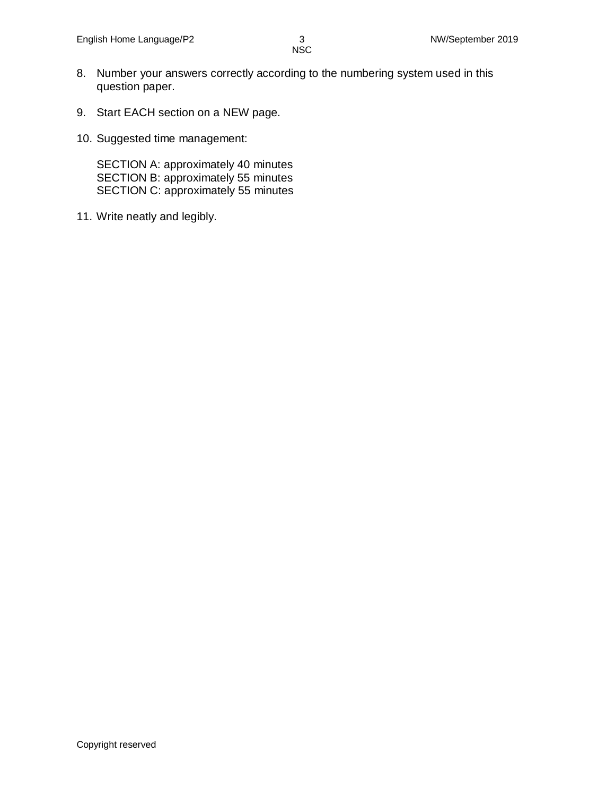- 8. Number your answers correctly according to the numbering system used in this question paper.
- 9. Start EACH section on a NEW page.
- 10. Suggested time management:

SECTION A: approximately 40 minutes SECTION B: approximately 55 minutes SECTION C: approximately 55 minutes

11. Write neatly and legibly.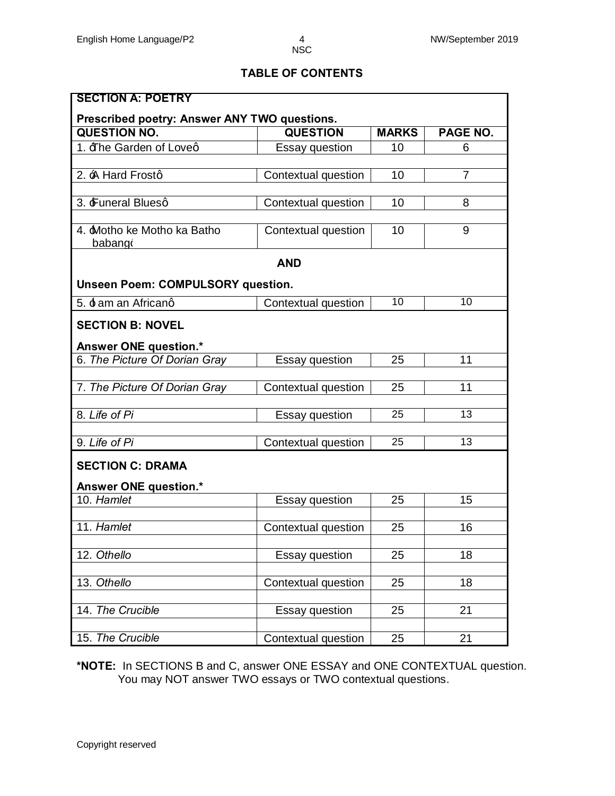## **TABLE OF CONTENTS**

| <b>SECTION A: POETRY</b>                         |                     |              |                 |
|--------------------------------------------------|---------------------|--------------|-----------------|
| Prescribed poetry: Answer ANY TWO questions.     |                     |              |                 |
| <b>QUESTION NO.</b>                              | <b>QUESTION</b>     | <b>MARKS</b> | PAGE NO.        |
| 1. <b>J</b> he Garden of Loveg                   | Essay question      | 10           | 6               |
|                                                  |                     |              |                 |
| 2. A Hard Frostg                                 | Contextual question | 10           | 7               |
|                                                  |                     |              |                 |
| 3. <b>Funeral Bluesq</b>                         | Contextual question | 10           | 8               |
|                                                  |                     |              |                 |
| 4. Motho ke Motho ka Batho<br>babango            | Contextual question | 10           | 9               |
|                                                  | <b>AND</b>          |              |                 |
| <b>Unseen Poem: COMPULSORY question.</b>         |                     |              |                 |
| 5. $\pm$ am an Africang                          | Contextual question | 10           | 10              |
| <b>SECTION B: NOVEL</b><br>Answer ONE question.* |                     |              |                 |
| 6. The Picture Of Dorian Gray                    | Essay question      | 25           | 11              |
|                                                  |                     |              |                 |
| 7. The Picture Of Dorian Gray                    | Contextual question | 25           | 11              |
|                                                  |                     |              |                 |
| 8. Life of Pi                                    | Essay question      | 25           | $\overline{13}$ |
| 9. Life of Pi                                    | Contextual question | 25           | 13              |
| <b>SECTION C: DRAMA</b>                          |                     |              |                 |
| Answer ONE question.*                            |                     |              |                 |
| 10. Hamlet                                       | Essay question      | 25           | 15              |
|                                                  |                     |              |                 |
| 11. Hamlet                                       | Contextual question | 25           | 16              |
|                                                  |                     |              |                 |
| 12. Othello                                      | Essay question      | 25           | 18              |
|                                                  |                     |              |                 |
| 13. Othello                                      | Contextual question | 25           | 18              |
|                                                  |                     |              |                 |
| 14. The Crucible                                 | Essay question      | 25           | 21              |
|                                                  |                     |              |                 |
| 15. The Crucible                                 | Contextual question | 25           | 21              |

**\*NOTE:** In SECTIONS B and C, answer ONE ESSAY and ONE CONTEXTUAL question. You may NOT answer TWO essays or TWO contextual questions.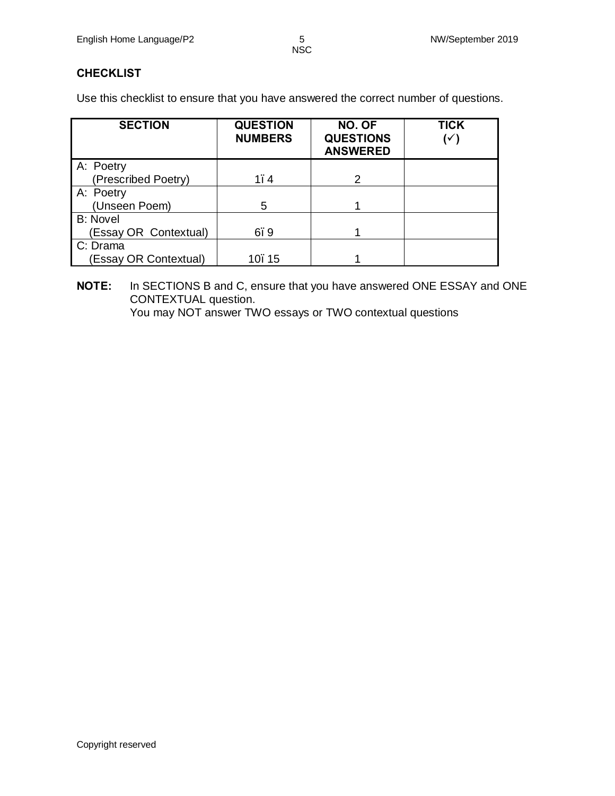## **CHECKLIST**

Use this checklist to ensure that you have answered the correct number of questions.

| <b>SECTION</b>        | <b>QUESTION</b><br><b>NUMBERS</b> | NO. OF<br><b>QUESTIONS</b><br><b>ANSWERED</b> | <b>TICK</b><br>$(\check{ }')$ |
|-----------------------|-----------------------------------|-----------------------------------------------|-------------------------------|
| A: Poetry             |                                   |                                               |                               |
| (Prescribed Poetry)   | 1.4                               | 2                                             |                               |
| A: Poetry             |                                   |                                               |                               |
| (Unseen Poem)         | 5                                 |                                               |                               |
| <b>B:</b> Novel       |                                   |                                               |                               |
| (Essay OR Contextual) | 6.9                               |                                               |                               |
| C: Drama              |                                   |                                               |                               |
| (Essay OR Contextual) | 10.15                             |                                               |                               |

**NOTE:** In SECTIONS B and C, ensure that you have answered ONE ESSAY and ONE CONTEXTUAL question.

You may NOT answer TWO essays or TWO contextual questions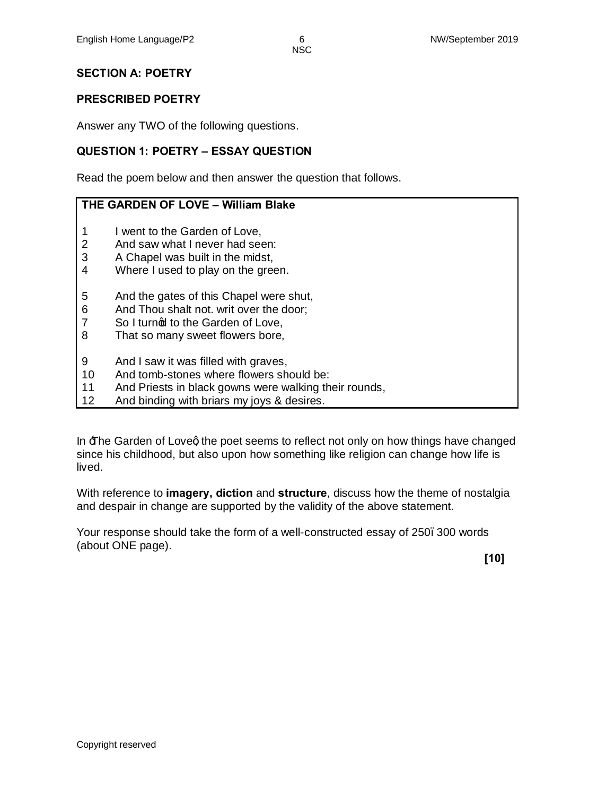#### **SECTION A: POETRY**

#### **PRESCRIBED POETRY**

Answer any TWO of the following questions.

## **QUESTION 1: POETRY – ESSAY QUESTION**

Read the poem below and then answer the question that follows.

#### **THE GARDEN OF LOVE – William Blake**

- 1 I went to the Garden of Love,
- 2 And saw what I never had seen:
- 3 A Chapel was built in the midst,
- 4 Where I used to play on the green.
- 5 And the gates of this Chapel were shut,
- 6 And Thou shalt not. writ over the door;
- 7 So I turnod to the Garden of Love,
- 8 That so many sweet flowers bore,
- 9 And I saw it was filled with graves,
- 10 And tomb-stones where flowers should be:
- 11 And Priests in black gowns were walking their rounds,
- 12 And binding with briars my joys & desires.

In  $\exists$  he Garden of Loveg the poet seems to reflect not only on how things have changed since his childhood, but also upon how something like religion can change how life is lived.

With reference to **imagery, diction** and **structure**, discuss how the theme of nostalgia and despair in change are supported by the validity of the above statement.

Your response should take the form of a well-constructed essay of 250–300 words (about ONE page).

**[10]**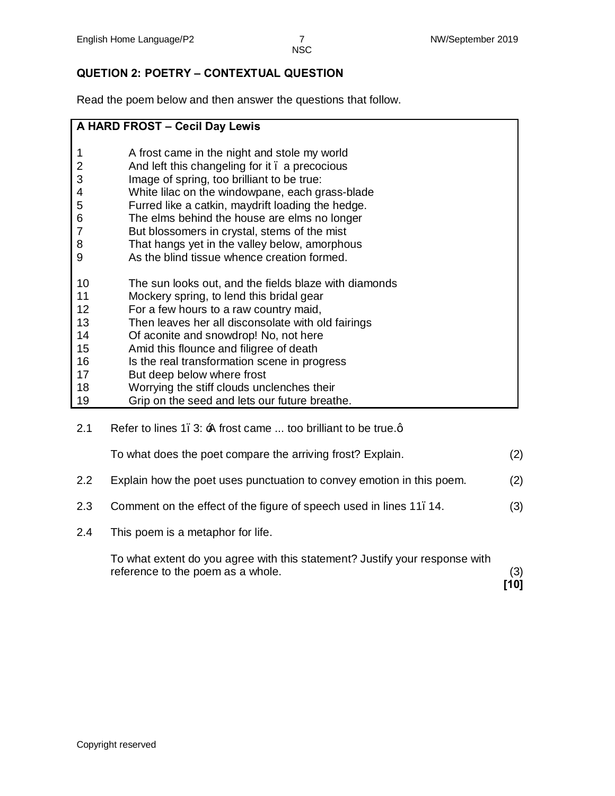## **QUETION 2: POETRY – CONTEXTUAL QUESTION**

Read the poem below and then answer the questions that follow.

|                                                                | A HARD FROST - Cecil Day Lewis                                                                                                                                                                                                                                                                                                                                                                                                                      |  |  |
|----------------------------------------------------------------|-----------------------------------------------------------------------------------------------------------------------------------------------------------------------------------------------------------------------------------------------------------------------------------------------------------------------------------------------------------------------------------------------------------------------------------------------------|--|--|
| $\overline{2}$<br>3<br>4<br>5<br>6<br>$\overline{7}$<br>8<br>9 | A frost came in the night and stole my world<br>And left this changeling for it. a precocious<br>Image of spring, too brilliant to be true:<br>White lilac on the windowpane, each grass-blade<br>Furred like a catkin, maydrift loading the hedge.<br>The elms behind the house are elms no longer<br>But blossomers in crystal, stems of the mist<br>That hangs yet in the valley below, amorphous<br>As the blind tissue whence creation formed. |  |  |
| 10                                                             | The sun looks out, and the fields blaze with diamonds                                                                                                                                                                                                                                                                                                                                                                                               |  |  |
| 11                                                             | Mockery spring, to lend this bridal gear                                                                                                                                                                                                                                                                                                                                                                                                            |  |  |
| 12                                                             | For a few hours to a raw country maid,                                                                                                                                                                                                                                                                                                                                                                                                              |  |  |
| 13                                                             | Then leaves her all disconsolate with old fairings                                                                                                                                                                                                                                                                                                                                                                                                  |  |  |
| 14                                                             | Of aconite and snowdrop! No, not here                                                                                                                                                                                                                                                                                                                                                                                                               |  |  |
| 15                                                             | Amid this flounce and filigree of death                                                                                                                                                                                                                                                                                                                                                                                                             |  |  |
| 16                                                             | Is the real transformation scene in progress                                                                                                                                                                                                                                                                                                                                                                                                        |  |  |
| 17                                                             | But deep below where frost                                                                                                                                                                                                                                                                                                                                                                                                                          |  |  |
| 18                                                             | Worrying the stiff clouds unclenches their                                                                                                                                                                                                                                                                                                                                                                                                          |  |  |
| 19                                                             | Grip on the seed and lets our future breathe.                                                                                                                                                                                                                                                                                                                                                                                                       |  |  |

2.1 Refer to lines 1. 3:  $\triangle$  frost came ... too brilliant to be true.q

To what does the poet compare the arriving frost? Explain. (2)

- 2.2 Explain how the poet uses punctuation to convey emotion in this poem. (2)
- 2.3 Comment on the effect of the figure of speech used in lines 11. 14. (3)
- 2.4 This poem is a metaphor for life.

To what extent do you agree with this statement? Justify your response with reference to the poem as a whole.  **[10]**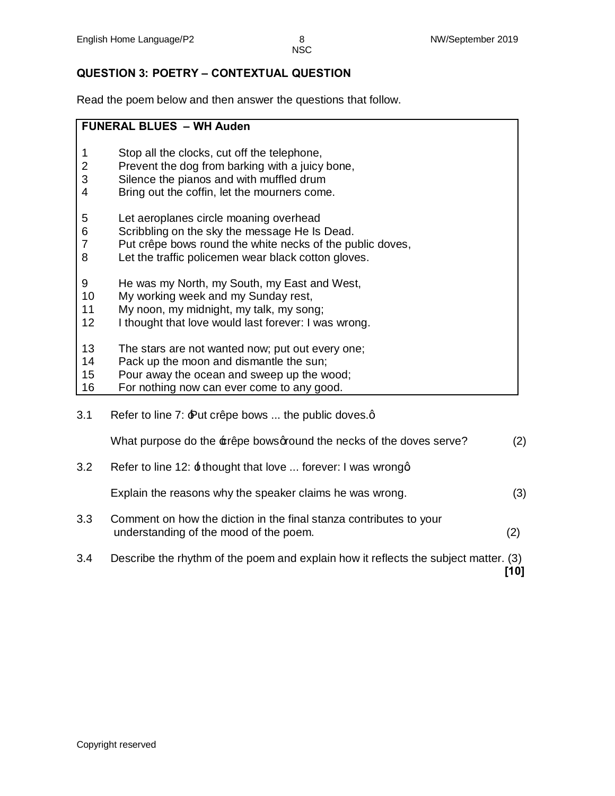## **QUESTION 3: POETRY – CONTEXTUAL QUESTION**

Read the poem below and then answer the questions that follow.

#### **FUNERAL BLUES – WH Auden**

- 1 Stop all the clocks, cut off the telephone,
- 2 Prevent the dog from barking with a juicy bone,
- 3 Silence the pianos and with muffled drum
- 4 Bring out the coffin, let the mourners come.
- 5 Let aeroplanes circle moaning overhead
- 6 Scribbling on the sky the message He Is Dead.
- 7 Put crêpe bows round the white necks of the public doves,
- 8 Let the traffic policemen wear black cotton gloves.
- 9 He was my North, my South, my East and West,
- 10 My working week and my Sunday rest,
- 11 My noon, my midnight, my talk, my song;
- 12 I thought that love would last forever: I was wrong.
- 13 The stars are not wanted now; put out every one;
- 14 Pack up the moon and dismantle the sun;
- 15 Pour away the ocean and sweep up the wood;
- 16 For nothing now can ever come to any good.
- 3.1 Refer to line 7:  $\text{Put}$  crêpe bows ... the public doves.q
	- What purpose do the  $\pm$  rêpe bows ground the necks of the doves serve? (2)
- 3.2 Refer to line 12:  $\pm$  thought that love ... forever: I was wrongq

Explain the reasons why the speaker claims he was wrong. (3)

- 3.3 Comment on how the diction in the final stanza contributes to your understanding of the mood of the poem. (2)
- 3.4 Describe the rhythm of the poem and explain how it reflects the subject matter. (3) **[10]**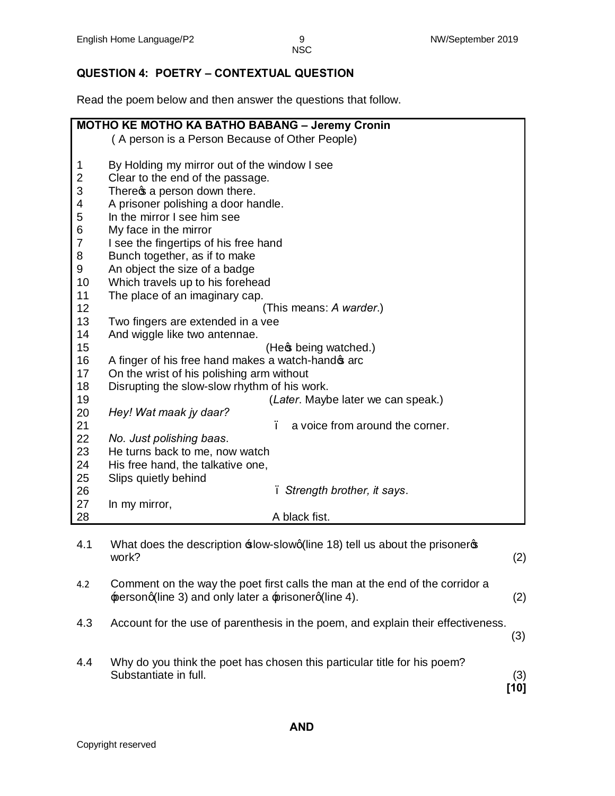(3)

NSC

## **QUESTION 4: POETRY – CONTEXTUAL QUESTION**

Read the poem below and then answer the questions that follow.

|                                                                                                      | <b>MOTHO KE MOTHO KA BATHO BABANG - Jeremy Cronin</b>                                                                                                                                                                                                                                                                                                                                                                                                                   |  |  |
|------------------------------------------------------------------------------------------------------|-------------------------------------------------------------------------------------------------------------------------------------------------------------------------------------------------------------------------------------------------------------------------------------------------------------------------------------------------------------------------------------------------------------------------------------------------------------------------|--|--|
|                                                                                                      | (A person is a Person Because of Other People)                                                                                                                                                                                                                                                                                                                                                                                                                          |  |  |
| 1<br>$\overline{\mathbf{c}}$<br>3<br>4<br>5<br>6<br>$\overline{7}$<br>8<br>9<br>10<br>11<br>12<br>13 | By Holding my mirror out of the window I see<br>Clear to the end of the passage.<br>There <i>s</i> a person down there.<br>A prisoner polishing a door handle.<br>In the mirror I see him see<br>My face in the mirror<br>I see the fingertips of his free hand<br>Bunch together, as if to make<br>An object the size of a badge<br>Which travels up to his forehead<br>The place of an imaginary cap.<br>(This means: A warder.)<br>Two fingers are extended in a vee |  |  |
| 14                                                                                                   | And wiggle like two antennae.                                                                                                                                                                                                                                                                                                                                                                                                                                           |  |  |
| 15<br>16                                                                                             | (Heq being watched.)<br>A finger of his free hand makes a watch-hand of arc                                                                                                                                                                                                                                                                                                                                                                                             |  |  |
| 17                                                                                                   | On the wrist of his polishing arm without                                                                                                                                                                                                                                                                                                                                                                                                                               |  |  |
| 18                                                                                                   | Disrupting the slow-slow rhythm of his work.                                                                                                                                                                                                                                                                                                                                                                                                                            |  |  |
| 19                                                                                                   | (Later. Maybe later we can speak.)                                                                                                                                                                                                                                                                                                                                                                                                                                      |  |  |
| 20                                                                                                   | Hey! Wat maak jy daar?                                                                                                                                                                                                                                                                                                                                                                                                                                                  |  |  |
| 21                                                                                                   | a voice from around the corner.                                                                                                                                                                                                                                                                                                                                                                                                                                         |  |  |
| 22                                                                                                   | No. Just polishing baas.                                                                                                                                                                                                                                                                                                                                                                                                                                                |  |  |
| 23                                                                                                   | He turns back to me, now watch                                                                                                                                                                                                                                                                                                                                                                                                                                          |  |  |
| 24                                                                                                   | His free hand, the talkative one,                                                                                                                                                                                                                                                                                                                                                                                                                                       |  |  |
| 25                                                                                                   | Slips quietly behind                                                                                                                                                                                                                                                                                                                                                                                                                                                    |  |  |
| 26                                                                                                   | . Strength brother, it says.                                                                                                                                                                                                                                                                                                                                                                                                                                            |  |  |
| 27                                                                                                   | In my mirror,                                                                                                                                                                                                                                                                                                                                                                                                                                                           |  |  |
| 28                                                                                                   | A black fist.                                                                                                                                                                                                                                                                                                                                                                                                                                                           |  |  |
| 4.1                                                                                                  | What does the description slow-slowq(line 18) tell us about the prisoners<br>work?<br>(2)                                                                                                                                                                                                                                                                                                                                                                               |  |  |
| 4.2                                                                                                  | Comment on the way the poet first calls the man at the end of the corridor a                                                                                                                                                                                                                                                                                                                                                                                            |  |  |

- $\Rightarrow$  persong(line 3) and only later a  $\Rightarrow$  prisonerg(line 4). (2)
- 4.3 Account for the use of parenthesis in the poem, and explain their effectiveness.
- 4.4 Why do you think the poet has chosen this particular title for his poem? Substantiate in full. **[10]**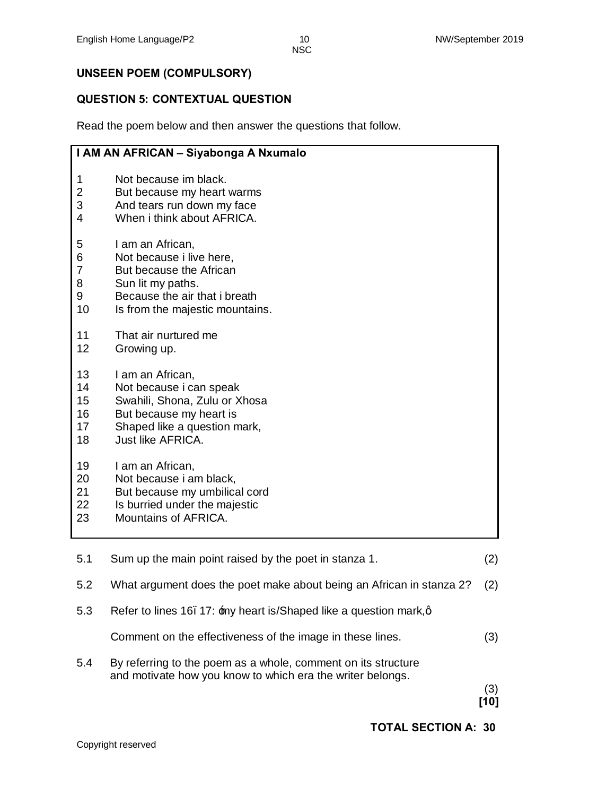## **UNSEEN POEM (COMPULSORY)**

## **QUESTION 5: CONTEXTUAL QUESTION**

Read the poem below and then answer the questions that follow.

|                                          | I AM AN AFRICAN - Siyabonga A Nxumalo                                                                                                                               |               |
|------------------------------------------|---------------------------------------------------------------------------------------------------------------------------------------------------------------------|---------------|
| 1<br>2<br>3<br>4                         | Not because im black.<br>But because my heart warms<br>And tears run down my face<br>When i think about AFRICA.                                                     |               |
| 5<br>6<br>$\overline{7}$<br>8<br>9<br>10 | I am an African,<br>Not because i live here,<br>But because the African<br>Sun lit my paths.<br>Because the air that i breath<br>Is from the majestic mountains.    |               |
| 11<br>12                                 | That air nurtured me<br>Growing up.                                                                                                                                 |               |
| 13<br>14<br>15<br>16<br>17<br>18         | I am an African,<br>Not because i can speak<br>Swahili, Shona, Zulu or Xhosa<br>But because my heart is<br>Shaped like a question mark,<br><b>Just like AFRICA.</b> |               |
| 19<br>20<br>21<br>22<br>23               | I am an African,<br>Not because i am black,<br>But because my umbilical cord<br>Is burried under the majestic<br>Mountains of AFRICA.                               |               |
| 5.1                                      | Sum up the main point raised by the poet in stanza 1.                                                                                                               | (2)           |
| 5.2                                      | What argument does the poet make about being an African in stanza 2?                                                                                                | (2)           |
| 5.3                                      | Refer to lines 16. 17: <i>my</i> heart is/Shaped like a question mark, q                                                                                            |               |
|                                          | Comment on the effectiveness of the image in these lines.                                                                                                           | (3)           |
| 5.4                                      | By referring to the poem as a whole, comment on its structure<br>and motivate how you know to which era the writer belongs.                                         | (3)<br>$[10]$ |
|                                          | <b>TOTAL SECTION A: 30</b>                                                                                                                                          |               |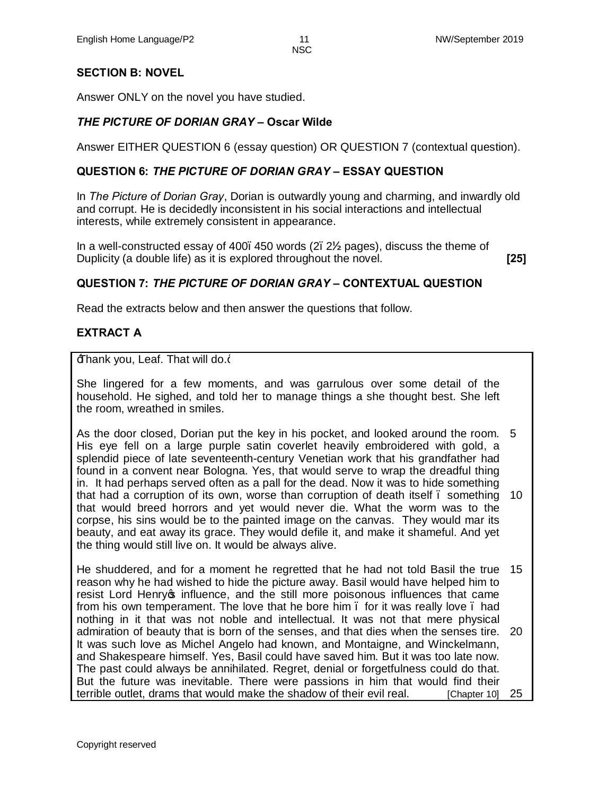## **SECTION B: NOVEL**

Answer ONLY on the novel you have studied.

## *THE PICTURE OF DORIAN GRAY* **– Oscar Wilde**

Answer EITHER QUESTION 6 (essay question) OR QUESTION 7 (contextual question).

## **QUESTION 6:** *THE PICTURE OF DORIAN GRAY* **– ESSAY QUESTION**

In *The Picture of Dorian Gray*, Dorian is outwardly young and charming, and inwardly old and corrupt. He is decidedly inconsistent in his social interactions and intellectual interests, while extremely consistent in appearance.

In a well-constructed essay of 400. 450 words  $(2, 2\frac{1}{2})$  pages), discuss the theme of Duplicity (a double life) as it is explored throughout the novel. **[25]**

#### **QUESTION 7:** *THE PICTURE OF DORIAN GRAY* **– CONTEXTUAL QUESTION**

Read the extracts below and then answer the questions that follow.

## **EXTRACT A**

'Thank you, Leaf. That will do.'

She lingered for a few moments, and was garrulous over some detail of the household. He sighed, and told her to manage things a she thought best. She left the room, wreathed in smiles.

As the door closed, Dorian put the key in his pocket, and looked around the room. 5 His eye fell on a large purple satin coverlet heavily embroidered with gold, a splendid piece of late seventeenth-century Venetian work that his grandfather had found in a convent near Bologna. Yes, that would serve to wrap the dreadful thing in. It had perhaps served often as a pall for the dead. Now it was to hide something that had a corruption of its own, worse than corruption of death itself. something 10 that would breed horrors and yet would never die. What the worm was to the corpse, his sins would be to the painted image on the canvas. They would mar its beauty, and eat away its grace. They would defile it, and make it shameful. And yet the thing would still live on. It would be always alive.

He shuddered, and for a moment he regretted that he had not told Basil the true 15 reason why he had wished to hide the picture away. Basil would have helped him to resist Lord Henry opsifiliance, and the still more poisonous influences that came from his own temperament. The love that he bore him – for it was really love – had nothing in it that was not noble and intellectual. It was not that mere physical admiration of beauty that is born of the senses, and that dies when the senses tire. 20 It was such love as Michel Angelo had known, and Montaigne, and Winckelmann, and Shakespeare himself. Yes, Basil could have saved him. But it was too late now. The past could always be annihilated. Regret, denial or forgetfulness could do that. But the future was inevitable. There were passions in him that would find their terrible outlet, drams that would make the shadow of their evil real. [Chapter 10] 25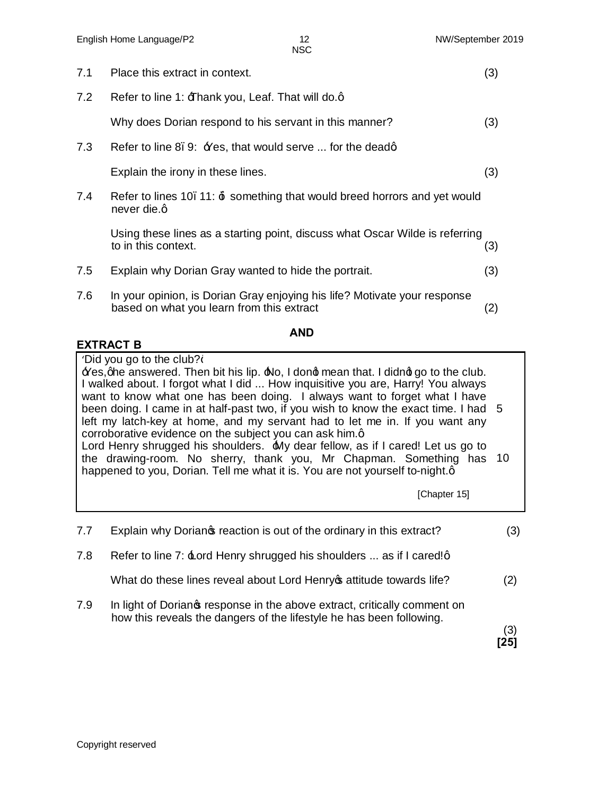| 7.1 | Place this extract in context.                                                                                         | (3) |
|-----|------------------------------------------------------------------------------------------------------------------------|-----|
| 7.2 | Refer to line 1: Ethank you, Leaf. That will do.q                                                                      |     |
|     | Why does Dorian respond to his servant in this manner?                                                                 | (3) |
| 7.3 | Refer to line 8.9: $\angle$ es, that would serve  for the deadq                                                        |     |
|     | Explain the irony in these lines.                                                                                      | (3) |
| 7.4 | Refer to lines 10. 11: $\pm$ something that would breed horrors and yet would<br>never die.q                           |     |
|     | Using these lines as a starting point, discuss what Oscar Wilde is referring<br>to in this context.                    | (3) |
| 7.5 | Explain why Dorian Gray wanted to hide the portrait.                                                                   | (3) |
| 7.6 | In your opinion, is Dorian Gray enjoying his life? Motivate your response<br>based on what you learn from this extract | (2) |
|     |                                                                                                                        |     |

**AND**

## **EXTRACT B**

'Did you go to the club?'

 $\angle$ Yes, ghe answered. Then bit his lip.  $\triangle$ o, I dong mean that. I didng go to the club. I walked about. I forgot what I did ... How inquisitive you are, Harry! You always want to know what one has been doing. I always want to forget what I have been doing. I came in at half-past two, if you wish to know the exact time. I had 5 left my latch-key at home, and my servant had to let me in. If you want any corroborative evidence on the subject you can ask him.q Lord Henry shrugged his shoulders. Ally dear fellow, as if I cared! Let us go to the drawing-room. No sherry, thank you, Mr Chapman. Something has 10 happened to you, Dorian. Tell me what it is. You are not yourself to-night.g

[Chapter 15]

7.7 Explain why Dorian  $\infty$  reaction is out of the ordinary in this extract? (3) 7.8 Refer to line 7:  $\pm$  ord Henry shrugged his shoulders ... as if I cared!q What do these lines reveal about Lord Henry operatitude towards life? (2) 7.9 In light of Doriangs response in the above extract, critically comment on how this reveals the dangers of the lifestyle he has been following. (3) **[25]**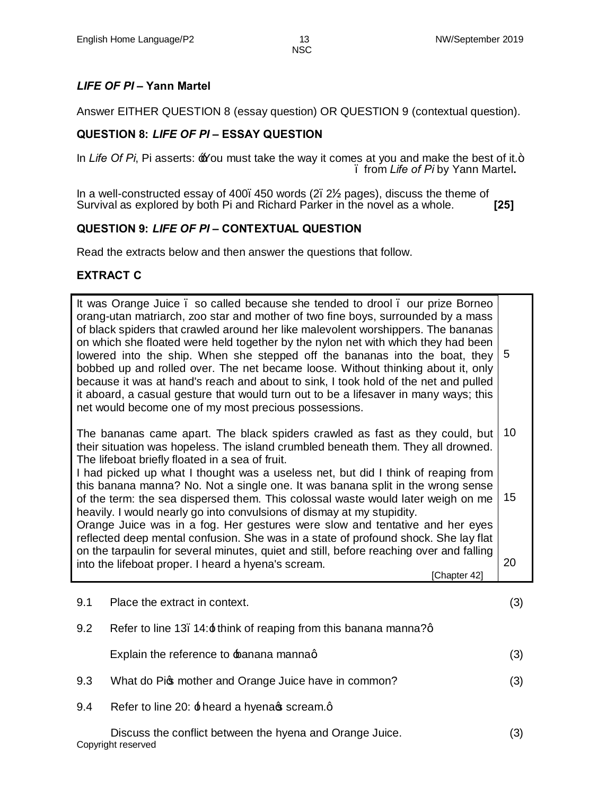## *LIFE OF PI* **– Yann Martel**

Answer EITHER QUESTION 8 (essay question) OR QUESTION 9 (contextual question).

## **QUESTION 8:** *LIFE OF PI* **– ESSAY QUESTION**

In Life Of Pi, Pi asserts:  $\pm$ You must take the way it comes at you and make the best of it.+ – from *Life of Pi* by Yann Martel**.**

In a well-constructed essay of 400. 450 words (2. 2½ pages), discuss the theme of Survival as explored by both Pi and Richard Parker in the novel as a whole. **[25]** 

## **QUESTION 9:** *LIFE OF PI* **– CONTEXTUAL QUESTION**

Read the extracts below and then answer the questions that follow.

## **EXTRACT C**

|                                                                                                                                                                                                                                                                                                                                                                                                                                                                                                                                                                                                                                                                                                                                                                                                                                                                                     | It was Orange Juice . so called because she tended to drool . our prize Borneo<br>orang-utan matriarch, zoo star and mother of two fine boys, surrounded by a mass<br>of black spiders that crawled around her like malevolent worshippers. The bananas<br>on which she floated were held together by the nylon net with which they had been<br>lowered into the ship. When she stepped off the bananas into the boat, they<br>bobbed up and rolled over. The net became loose. Without thinking about it, only<br>because it was at hand's reach and about to sink, I took hold of the net and pulled<br>it aboard, a casual gesture that would turn out to be a lifesaver in many ways; this<br>net would become one of my most precious possessions. | 5              |
|-------------------------------------------------------------------------------------------------------------------------------------------------------------------------------------------------------------------------------------------------------------------------------------------------------------------------------------------------------------------------------------------------------------------------------------------------------------------------------------------------------------------------------------------------------------------------------------------------------------------------------------------------------------------------------------------------------------------------------------------------------------------------------------------------------------------------------------------------------------------------------------|---------------------------------------------------------------------------------------------------------------------------------------------------------------------------------------------------------------------------------------------------------------------------------------------------------------------------------------------------------------------------------------------------------------------------------------------------------------------------------------------------------------------------------------------------------------------------------------------------------------------------------------------------------------------------------------------------------------------------------------------------------|----------------|
| The bananas came apart. The black spiders crawled as fast as they could, but<br>their situation was hopeless. The island crumbled beneath them. They all drowned.<br>The lifeboat briefly floated in a sea of fruit.<br>I had picked up what I thought was a useless net, but did I think of reaping from<br>this banana manna? No. Not a single one. It was banana split in the wrong sense<br>of the term: the sea dispersed them. This colossal waste would later weigh on me<br>heavily. I would nearly go into convulsions of dismay at my stupidity.<br>Orange Juice was in a fog. Her gestures were slow and tentative and her eyes<br>reflected deep mental confusion. She was in a state of profound shock. She lay flat<br>on the tarpaulin for several minutes, quiet and still, before reaching over and falling<br>into the lifeboat proper. I heard a hyena's scream. |                                                                                                                                                                                                                                                                                                                                                                                                                                                                                                                                                                                                                                                                                                                                                         | 10<br>15<br>20 |
| 9.1                                                                                                                                                                                                                                                                                                                                                                                                                                                                                                                                                                                                                                                                                                                                                                                                                                                                                 | [Chapter 42]<br>Place the extract in context.                                                                                                                                                                                                                                                                                                                                                                                                                                                                                                                                                                                                                                                                                                           | (3)            |
| 9.2                                                                                                                                                                                                                                                                                                                                                                                                                                                                                                                                                                                                                                                                                                                                                                                                                                                                                 | Refer to line 13. 14:± think of reaping from this banana manna?q                                                                                                                                                                                                                                                                                                                                                                                                                                                                                                                                                                                                                                                                                        |                |
|                                                                                                                                                                                                                                                                                                                                                                                                                                                                                                                                                                                                                                                                                                                                                                                                                                                                                     | Explain the reference to banana mannaq                                                                                                                                                                                                                                                                                                                                                                                                                                                                                                                                                                                                                                                                                                                  | (3)            |
| 9.3                                                                                                                                                                                                                                                                                                                                                                                                                                                                                                                                                                                                                                                                                                                                                                                                                                                                                 | What do Pic mother and Orange Juice have in common?                                                                                                                                                                                                                                                                                                                                                                                                                                                                                                                                                                                                                                                                                                     | (3)            |
| 9.4                                                                                                                                                                                                                                                                                                                                                                                                                                                                                                                                                                                                                                                                                                                                                                                                                                                                                 | Refer to line 20: ± heard a hyenas scream.q                                                                                                                                                                                                                                                                                                                                                                                                                                                                                                                                                                                                                                                                                                             |                |
|                                                                                                                                                                                                                                                                                                                                                                                                                                                                                                                                                                                                                                                                                                                                                                                                                                                                                     |                                                                                                                                                                                                                                                                                                                                                                                                                                                                                                                                                                                                                                                                                                                                                         |                |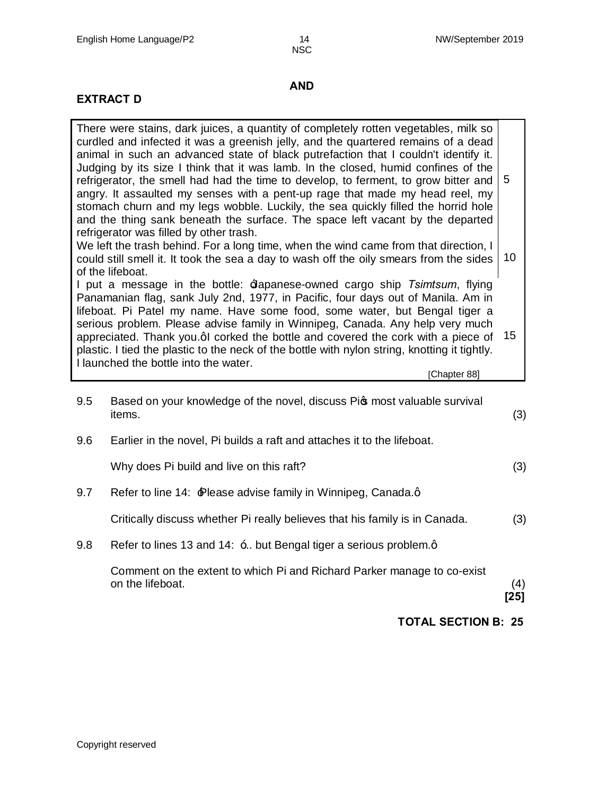## **AND**

## **EXTRACT D**

|     | There were stains, dark juices, a quantity of completely rotten vegetables, milk so<br>curdled and infected it was a greenish jelly, and the quartered remains of a dead<br>animal in such an advanced state of black putrefaction that I couldn't identify it.<br>Judging by its size I think that it was lamb. In the closed, humid confines of the<br>refrigerator, the smell had had the time to develop, to ferment, to grow bitter and<br>angry. It assaulted my senses with a pent-up rage that made my head reel, my<br>stomach churn and my legs wobble. Luckily, the sea quickly filled the horrid hole<br>and the thing sank beneath the surface. The space left vacant by the departed<br>refrigerator was filled by other trash. | 5   |
|-----|-----------------------------------------------------------------------------------------------------------------------------------------------------------------------------------------------------------------------------------------------------------------------------------------------------------------------------------------------------------------------------------------------------------------------------------------------------------------------------------------------------------------------------------------------------------------------------------------------------------------------------------------------------------------------------------------------------------------------------------------------|-----|
|     | We left the trash behind. For a long time, when the wind came from that direction, I<br>could still smell it. It took the sea a day to wash off the oily smears from the sides<br>of the lifeboat.                                                                                                                                                                                                                                                                                                                                                                                                                                                                                                                                            | 10  |
|     | I put a message in the bottle: <b>Hapanese-owned cargo ship Tsimtsum</b> , flying<br>Panamanian flag, sank July 2nd, 1977, in Pacific, four days out of Manila. Am in<br>lifeboat. Pi Patel my name. Have some food, some water, but Bengal tiger a<br>serious problem. Please advise family in Winnipeg, Canada. Any help very much<br>appreciated. Thank you.ql corked the bottle and covered the cork with a piece of<br>plastic. I tied the plastic to the neck of the bottle with nylon string, knotting it tightly.<br>I launched the bottle into the water.<br>[Chapter 88]                                                                                                                                                            | 15  |
| 9.5 | Based on your knowledge of the novel, discuss Pic most valuable survival<br>items.                                                                                                                                                                                                                                                                                                                                                                                                                                                                                                                                                                                                                                                            | (3) |
| 9.6 | Earlier in the novel, Pi builds a raft and attaches it to the lifeboat.                                                                                                                                                                                                                                                                                                                                                                                                                                                                                                                                                                                                                                                                       |     |
|     | Why does Pi build and live on this raft?                                                                                                                                                                                                                                                                                                                                                                                                                                                                                                                                                                                                                                                                                                      | (3) |
| 9.7 | Refer to line 14: Please advise family in Winnipeg, Canada.q                                                                                                                                                                                                                                                                                                                                                                                                                                                                                                                                                                                                                                                                                  |     |
|     | Critically discuss whether Pi really believes that his family is in Canada.                                                                                                                                                                                                                                                                                                                                                                                                                                                                                                                                                                                                                                                                   | (3) |
| 9.8 | Refer to lines 13 and 14: $\pm$ . but Bengal tiger a serious problem.q                                                                                                                                                                                                                                                                                                                                                                                                                                                                                                                                                                                                                                                                        |     |
|     | Comment on the extent to which Pi and Richard Parker manage to co-exist                                                                                                                                                                                                                                                                                                                                                                                                                                                                                                                                                                                                                                                                       |     |

 **TOTAL SECTION B: 25**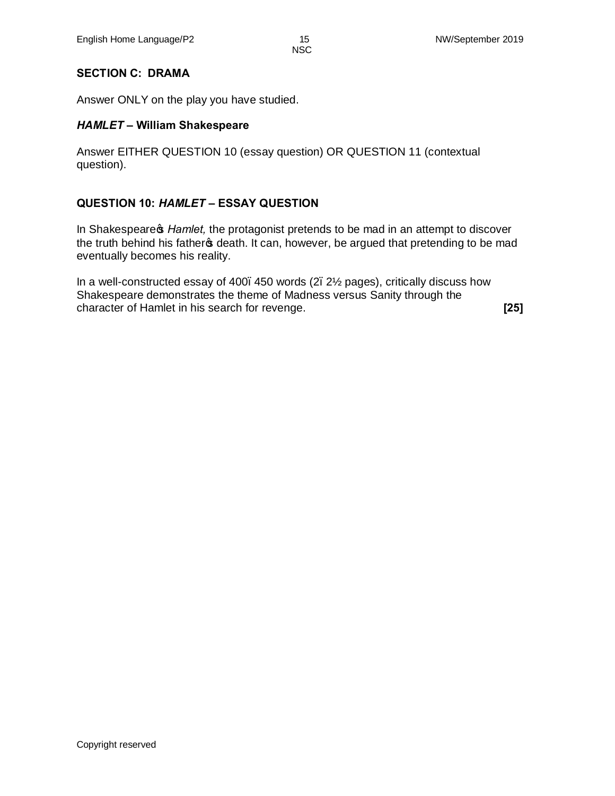#### **SECTION C: DRAMA**

Answer ONLY on the play you have studied.

#### *HAMLET* **– William Shakespeare**

Answer EITHER QUESTION 10 (essay question) OR QUESTION 11 (contextual question).

## **QUESTION 10:** *HAMLET* **– ESSAY QUESTION**

In Shakespeare<sub>s</sub> *Hamlet*, the protagonist pretends to be mad in an attempt to discover the truth behind his father of death. It can, however, be argued that pretending to be mad eventually becomes his reality.

In a well-constructed essay of 400. 450 words (2. 2½ pages), critically discuss how Shakespeare demonstrates the theme of Madness versus Sanity through the character of Hamlet in his search for revenge. **[25]**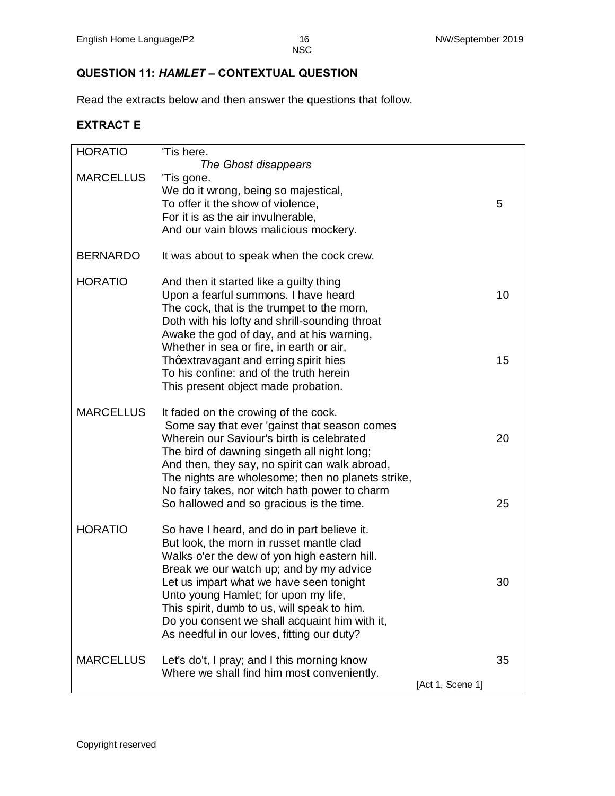### **QUESTION 11:** *HAMLET –* **CONTEXTUAL QUESTION**

Read the extracts below and then answer the questions that follow.

## **EXTRACT E**

| <b>HORATIO</b>   | 'Tis here.                                                                                                                                                                                                                                                                                                                                                                                                          |                  |    |
|------------------|---------------------------------------------------------------------------------------------------------------------------------------------------------------------------------------------------------------------------------------------------------------------------------------------------------------------------------------------------------------------------------------------------------------------|------------------|----|
| <b>MARCELLUS</b> | The Ghost disappears<br>'Tis gone.<br>We do it wrong, being so majestical,<br>To offer it the show of violence,<br>For it is as the air invulnerable,<br>And our vain blows malicious mockery.                                                                                                                                                                                                                      |                  | 5  |
| <b>BERNARDO</b>  | It was about to speak when the cock crew.                                                                                                                                                                                                                                                                                                                                                                           |                  |    |
| <b>HORATIO</b>   | And then it started like a guilty thing<br>Upon a fearful summons. I have heard<br>The cock, that is the trumpet to the morn,<br>Doth with his lofty and shrill-sounding throat<br>Awake the god of day, and at his warning,                                                                                                                                                                                        |                  | 10 |
|                  | Whether in sea or fire, in earth or air,<br>Thqextravagant and erring spirit hies<br>To his confine: and of the truth herein<br>This present object made probation.                                                                                                                                                                                                                                                 |                  | 15 |
| <b>MARCELLUS</b> | It faded on the crowing of the cock.<br>Some say that ever 'gainst that season comes<br>Wherein our Saviour's birth is celebrated<br>The bird of dawning singeth all night long;<br>And then, they say, no spirit can walk abroad,<br>The nights are wholesome; then no planets strike,<br>No fairy takes, nor witch hath power to charm                                                                            |                  | 20 |
|                  | So hallowed and so gracious is the time.                                                                                                                                                                                                                                                                                                                                                                            |                  | 25 |
| <b>HORATIO</b>   | So have I heard, and do in part believe it.<br>But look, the morn in russet mantle clad<br>Walks o'er the dew of yon high eastern hill.<br>Break we our watch up; and by my advice<br>Let us impart what we have seen tonight<br>Unto young Hamlet; for upon my life,<br>This spirit, dumb to us, will speak to him.<br>Do you consent we shall acquaint him with it,<br>As needful in our loves, fitting our duty? |                  | 30 |
| <b>MARCELLUS</b> | Let's do't, I pray; and I this morning know<br>Where we shall find him most conveniently.                                                                                                                                                                                                                                                                                                                           | [Act 1, Scene 1] | 35 |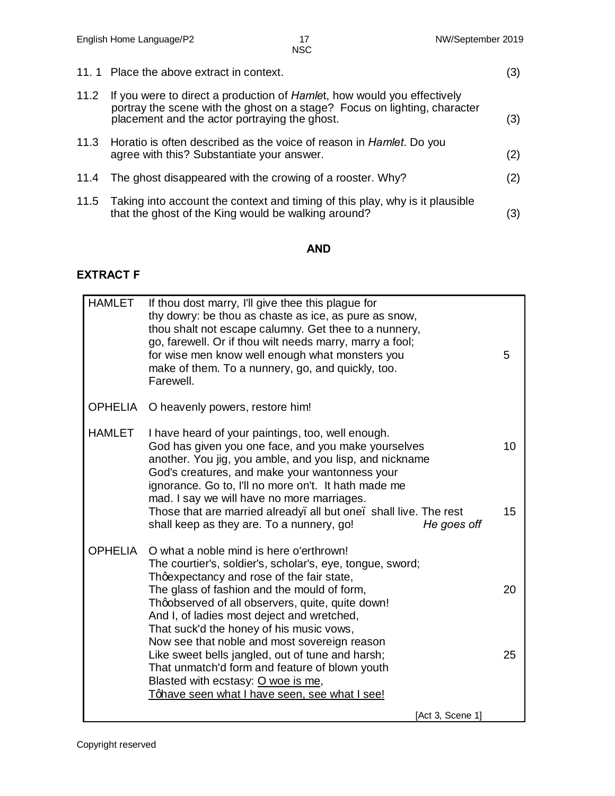11. 1 Place the above extract in context. (3) 11.2 If you were to direct a production of *Hamle*t, how would you effectively portray the scene with the ghost on a stage? Focus on lighting, character placement and the actor portraying the ghost. (3) 11.3 Horatio is often described as the voice of reason in *Hamlet*. Do you agree with this? Substantiate your answer. (2) 11.4 The ghost disappeared with the crowing of a rooster. Why? (2)

11.5 Taking into account the context and timing of this play, why is it plausible that the ghost of the King would be walking around? (3)

#### **AND**

## **EXTRACT F**

| <b>HAMLET</b>  | If thou dost marry, I'll give thee this plague for<br>thy dowry: be thou as chaste as ice, as pure as snow,<br>thou shalt not escape calumny. Get thee to a nunnery,<br>go, farewell. Or if thou wilt needs marry, marry a fool;<br>for wise men know well enough what monsters you<br>make of them. To a nunnery, go, and quickly, too.<br>Farewell. | 5  |
|----------------|-------------------------------------------------------------------------------------------------------------------------------------------------------------------------------------------------------------------------------------------------------------------------------------------------------------------------------------------------------|----|
|                | OPHELIA O heavenly powers, restore him!                                                                                                                                                                                                                                                                                                               |    |
| <b>HAMLET</b>  | I have heard of your paintings, too, well enough.<br>God has given you one face, and you make yourselves<br>another. You jig, you amble, and you lisp, and nickname<br>God's creatures, and make your wantonness your<br>ignorance. Go to, I'll no more on't. It hath made me<br>mad. I say we will have no more marriages.                           | 10 |
|                | Those that are married already. all but one. shall live. The rest<br>shall keep as they are. To a nunnery, go!<br>He goes off                                                                                                                                                                                                                         | 15 |
| <b>OPHELIA</b> | O what a noble mind is here o'erthrown!<br>The courtier's, soldier's, scholar's, eye, tongue, sword;<br>Tho expectancy and rose of the fair state,                                                                                                                                                                                                    |    |
|                | The glass of fashion and the mould of form,<br>Thqobserved of all observers, quite, quite down!<br>And I, of ladies most deject and wretched,<br>That suck'd the honey of his music vows,<br>Now see that noble and most sovereign reason                                                                                                             | 20 |
|                | Like sweet bells jangled, out of tune and harsh;<br>That unmatch'd form and feature of blown youth<br>Blasted with ecstasy: O woe is me,<br>Tghave seen what I have seen, see what I see!                                                                                                                                                             | 25 |
|                | [Act 3, Scene 1]                                                                                                                                                                                                                                                                                                                                      |    |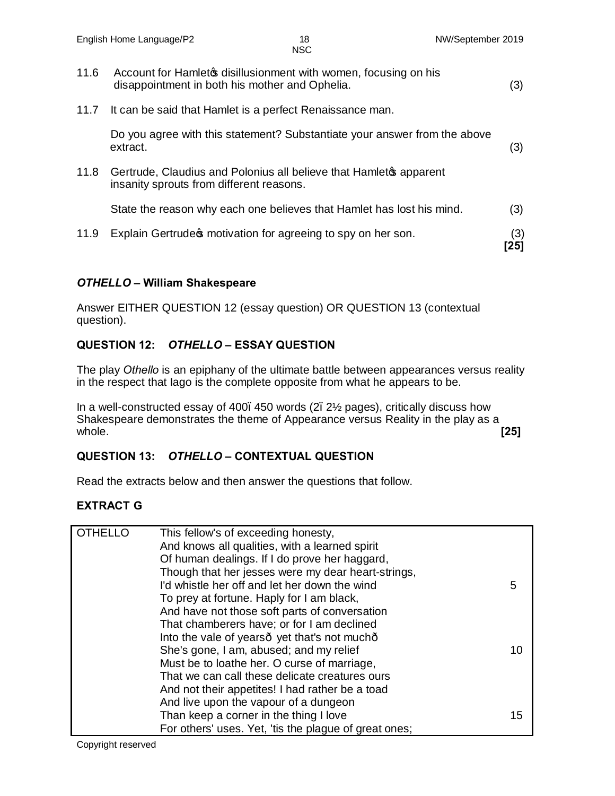|      |                                                                                                                    | (3)<br>251 |
|------|--------------------------------------------------------------------------------------------------------------------|------------|
| 11.9 | Explain Gertrudes motivation for agreeing to spy on her son.                                                       |            |
|      | State the reason why each one believes that Hamlet has lost his mind.                                              | (3)        |
| 11.8 | Gertrude, Claudius and Polonius all believe that Hamlet & apparent<br>insanity sprouts from different reasons.     |            |
|      | Do you agree with this statement? Substantiate your answer from the above<br>extract.                              | (3)        |
| 11.7 | It can be said that Hamlet is a perfect Renaissance man.                                                           |            |
| 11.6 | Account for Hamletos disillusionment with women, focusing on his<br>disappointment in both his mother and Ophelia. | (3)        |

## *OTHELLO* **– William Shakespeare**

Answer EITHER QUESTION 12 (essay question) OR QUESTION 13 (contextual question).

## **QUESTION 12:** *OTHELLO* **– ESSAY QUESTION**

The play *Othello* is an epiphany of the ultimate battle between appearances versus reality in the respect that Iago is the complete opposite from what he appears to be.

In a well-constructed essay of 400. 450 words  $(2.2\frac{1}{2})$  pages), critically discuss how Shakespeare demonstrates the theme of Appearance versus Reality in the play as a whole. whole. **[25]**

## **QUESTION 13:** *OTHELLO* **– CONTEXTUAL QUESTION**

Read the extracts below and then answer the questions that follow.

## **EXTRACT G**

| <b>OTHELLO</b> | This fellow's of exceeding honesty,                   |    |
|----------------|-------------------------------------------------------|----|
|                | And knows all qualities, with a learned spirit        |    |
|                | Of human dealings. If I do prove her haggard,         |    |
|                | Though that her jesses were my dear heart-strings,    |    |
|                | I'd whistle her off and let her down the wind         | 5  |
|                | To prey at fortune. Haply for I am black,             |    |
|                | And have not those soft parts of conversation         |    |
|                | That chamberers have; or for I am declined            |    |
|                | Into the vale of years yet that's not much.           |    |
|                | She's gone, I am, abused; and my relief               | 10 |
|                | Must be to loathe her. O curse of marriage,           |    |
|                | That we can call these delicate creatures ours        |    |
|                | And not their appetites! I had rather be a toad       |    |
|                | And live upon the vapour of a dungeon                 |    |
|                | Than keep a corner in the thing I love                | 15 |
|                | For others' uses. Yet, 'tis the plague of great ones; |    |

Copyright reserved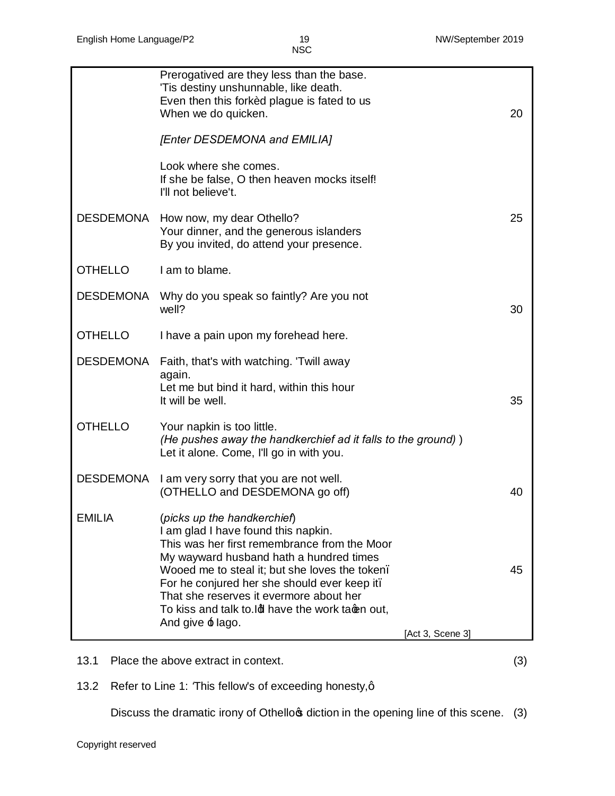|                  | Prerogatived are they less than the base.<br>'Tis destiny unshunnable, like death.<br>Even then this forked plague is fated to us<br>When we do quicken.                                                                                                                                                                                                                                                   | 20 |
|------------------|------------------------------------------------------------------------------------------------------------------------------------------------------------------------------------------------------------------------------------------------------------------------------------------------------------------------------------------------------------------------------------------------------------|----|
|                  | [Enter DESDEMONA and EMILIA]                                                                                                                                                                                                                                                                                                                                                                               |    |
|                  | Look where she comes.<br>If she be false, O then heaven mocks itself!<br>I'll not believe't.                                                                                                                                                                                                                                                                                                               |    |
| DESDEMONA        | How now, my dear Othello?<br>Your dinner, and the generous islanders<br>By you invited, do attend your presence.                                                                                                                                                                                                                                                                                           | 25 |
| <b>OTHELLO</b>   | I am to blame.                                                                                                                                                                                                                                                                                                                                                                                             |    |
| <b>DESDEMONA</b> | Why do you speak so faintly? Are you not<br>well?                                                                                                                                                                                                                                                                                                                                                          | 30 |
| <b>OTHELLO</b>   | I have a pain upon my forehead here.                                                                                                                                                                                                                                                                                                                                                                       |    |
| <b>DESDEMONA</b> | Faith, that's with watching. 'Twill away<br>again.<br>Let me but bind it hard, within this hour<br>It will be well.                                                                                                                                                                                                                                                                                        | 35 |
| <b>OTHELLO</b>   | Your napkin is too little.<br>(He pushes away the handkerchief ad it falls to the ground))<br>Let it alone. Come, I'll go in with you.                                                                                                                                                                                                                                                                     |    |
| <b>DESDEMONA</b> | I am very sorry that you are not well.<br>(OTHELLO and DESDEMONA go off)                                                                                                                                                                                                                                                                                                                                   | 40 |
| <b>EMILIA</b>    | (picks up the handkerchief)<br>I am glad I have found this napkin.<br>This was her first remembrance from the Moor<br>My wayward husband hath a hundred times<br>Wooed me to steal it; but she loves the token.<br>For he conjured her she should ever keep it.<br>That she reserves it evermore about her<br>To kiss and talk to. Id have the work tacen out,<br>And give $\pm$ lago.<br>[Act 3, Scene 3] | 45 |
|                  |                                                                                                                                                                                                                                                                                                                                                                                                            |    |

- 13.1 Place the above extract in context. (3)
- 

13.2 Refer to Line 1: This fellow's of exceeding honesty,q

Discuss the dramatic irony of Othello $\phi$  diction in the opening line of this scene. (3)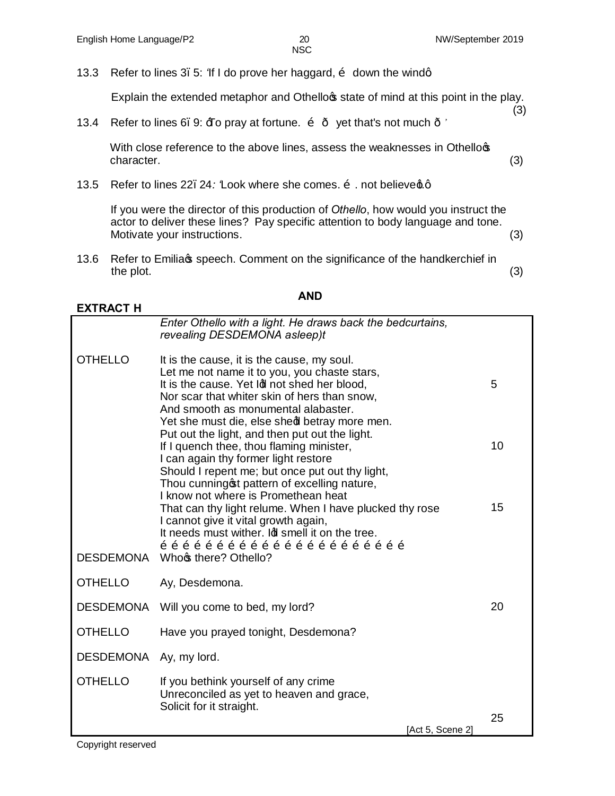13.3 Refer to lines 3.5: 'If I do prove her haggard,  $\ddot{o}$  down the windq

Explain the extended metaphor and Othello<sub>ng</sub> state of mind at this point in the play. (3)

13.4 Refer to lines 6. 9:  $\pm$  o pray at fortune.  $\ddot{\text{o}}$   $\cdot$  yet that's not much  $\cdot$  '

With close reference to the above lines, assess the weaknesses in Othelloop character. (3)

13.5 Refer to lines 22. 24: Look where she comes.  $\tilde{\text{o}}$  . not believed q

If you were the director of this production of *Othello*, how would you instruct the actor to deliver these lines? Pay specific attention to body language and tone. Motivate your instructions. (3)

13.6 Refer to Emilia speech. Comment on the significance of the handkerchief in  $\mathsf{the}\ \mathsf{plot}.\tag{3}$ 

## **AND**

## **EXTRACT H**

|                        | Enter Othello with a light. He draws back the bedcurtains,<br>revealing DESDEMONA asleep)t                                                                                                                                                                                                                                                                                                                                                                                                                                                            |    |
|------------------------|-------------------------------------------------------------------------------------------------------------------------------------------------------------------------------------------------------------------------------------------------------------------------------------------------------------------------------------------------------------------------------------------------------------------------------------------------------------------------------------------------------------------------------------------------------|----|
| <b>OTHELLO</b>         | It is the cause, it is the cause, my soul.<br>Let me not name it to you, you chaste stars,<br>It is the cause. Yet Id not shed her blood,<br>Nor scar that whiter skin of hers than snow,<br>And smooth as monumental alabaster.<br>Yet she must die, else shed betray more men.                                                                                                                                                                                                                                                                      | 5  |
|                        | Put out the light, and then put out the light.<br>If I quench thee, thou flaming minister,<br>I can again thy former light restore<br>Should I repent me; but once put out thy light,<br>Thou cunning ot pattern of excelling nature,<br>I know not where is Promethean heat                                                                                                                                                                                                                                                                          | 10 |
| <b>DESDEMONA</b>       | That can thy light relume. When I have plucked thy rose<br>I cannot give it vital growth again,<br>It needs must wither. Id smell it on the tree.<br>$\tilde{\text{o}}$ $\tilde{\text{o}}$ $\tilde{\text{o}}$ $\tilde{\text{o}}$ $\tilde{\text{o}}$ $\tilde{\text{o}}$ $\tilde{\text{o}}$ $\tilde{\text{o}}$ $\tilde{\text{o}}$ $\tilde{\text{o}}$ $\tilde{\text{o}}$ $\tilde{\text{o}}$ $\tilde{\text{o}}$ $\tilde{\text{o}}$ $\tilde{\text{o}}$ $\tilde{\text{o}}$ $\tilde{\text{o}}$ $\tilde{\text{o}}$ $\tilde{\text{o}}$<br>Whos there? Othello? | 15 |
| <b>OTHELLO</b>         | Ay, Desdemona.                                                                                                                                                                                                                                                                                                                                                                                                                                                                                                                                        |    |
| <b>DESDEMONA</b>       | Will you come to bed, my lord?                                                                                                                                                                                                                                                                                                                                                                                                                                                                                                                        | 20 |
| <b>OTHELLO</b>         | Have you prayed tonight, Desdemona?                                                                                                                                                                                                                                                                                                                                                                                                                                                                                                                   |    |
| DESDEMONA Ay, my lord. |                                                                                                                                                                                                                                                                                                                                                                                                                                                                                                                                                       |    |
| <b>OTHELLO</b>         | If you bethink yourself of any crime<br>Unreconciled as yet to heaven and grace,<br>Solicit for it straight.                                                                                                                                                                                                                                                                                                                                                                                                                                          |    |
|                        | [Act 5, Scene 2]                                                                                                                                                                                                                                                                                                                                                                                                                                                                                                                                      | 25 |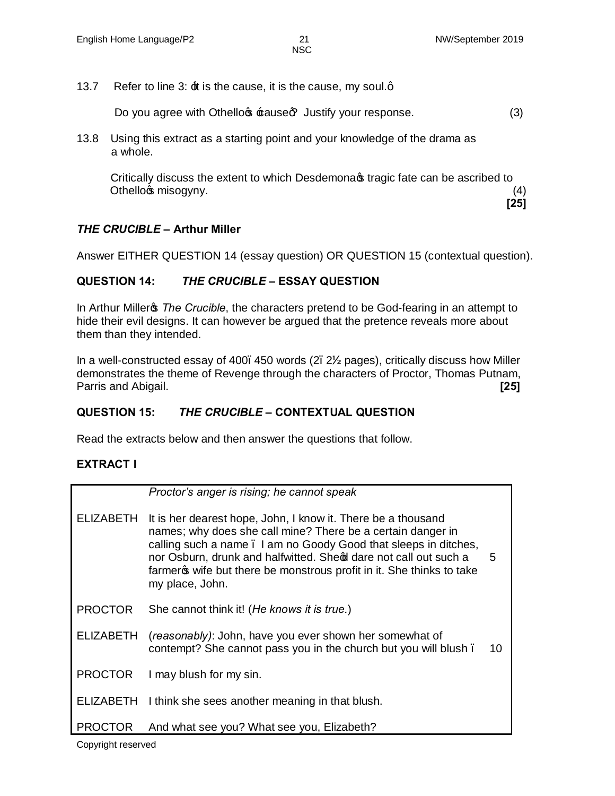13.7 Refer to line 3:  $\pm$ t is the cause, it is the cause, my soul.q

Do you agree with Othello's 'cause'? Justify your response. (3)

13.8 Using this extract as a starting point and your knowledge of the drama as a whole.

Critically discuss the extent to which Desdemona tragic fate can be ascribed to Othello's misogyny. (4) **[25]**

## *THE CRUCIBLE* **– Arthur Miller**

Answer EITHER QUESTION 14 (essay question) OR QUESTION 15 (contextual question).

## **QUESTION 14:** *THE CRUCIBLE* **– ESSAY QUESTION**

In Arthur Miller<sub>g</sub> *The Crucible*, the characters pretend to be God-fearing in an attempt to hide their evil designs. It can however be argued that the pretence reveals more about them than they intended.

In a well-constructed essay of 400. 450 words (2. 2<sup>1</sup>/<sub>2</sub> pages), critically discuss how Miller demonstrates the theme of Revenge through the characters of Proctor, Thomas Putnam, Parris and Abigail. **[25]**

## **QUESTION 15:** *THE CRUCIBLE* **– CONTEXTUAL QUESTION**

Read the extracts below and then answer the questions that follow.

## **EXTRACT I**

|                    | Proctor's anger is rising; he cannot speak                                                                                                                                                                                                                                                                                                                     |    |
|--------------------|----------------------------------------------------------------------------------------------------------------------------------------------------------------------------------------------------------------------------------------------------------------------------------------------------------------------------------------------------------------|----|
| <b>ELIZABETH</b>   | It is her dearest hope, John, I know it. There be a thousand<br>names; why does she call mine? There be a certain danger in<br>calling such a name. I am no Goody Good that sleeps in ditches,<br>nor Osburn, drunk and halfwitted. Sheod dare not call out such a<br>farmeros wife but there be monstrous profit in it. She thinks to take<br>my place, John. | 5  |
| <b>PROCTOR</b>     | She cannot think it! (He knows it is true.)                                                                                                                                                                                                                                                                                                                    |    |
| <b>ELIZABETH</b>   | (reasonably): John, have you ever shown her somewhat of<br>contempt? She cannot pass you in the church but you will blush.                                                                                                                                                                                                                                     | 10 |
| <b>PROCTOR</b>     | I may blush for my sin.                                                                                                                                                                                                                                                                                                                                        |    |
|                    | ELIZABETH I think she sees another meaning in that blush.                                                                                                                                                                                                                                                                                                      |    |
| <b>PROCTOR</b>     | And what see you? What see you, Elizabeth?                                                                                                                                                                                                                                                                                                                     |    |
| Copyright reserved |                                                                                                                                                                                                                                                                                                                                                                |    |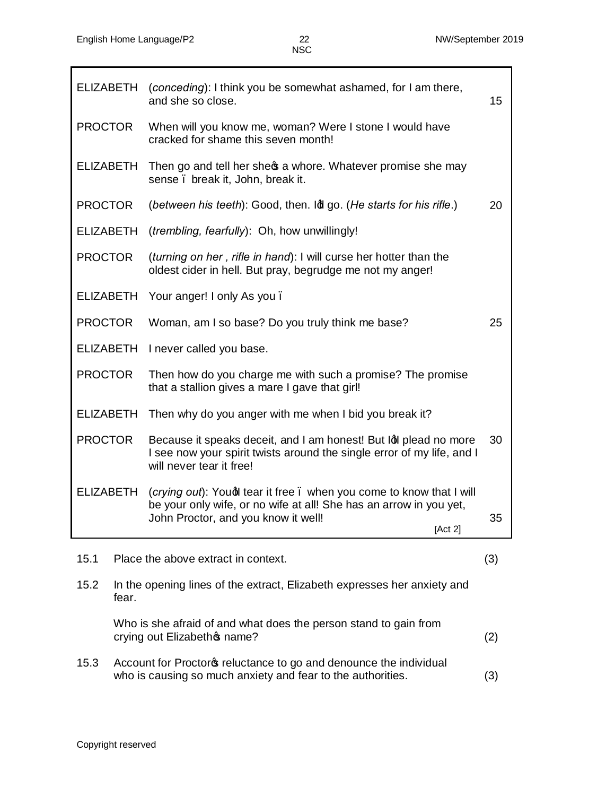| <b>ELIZABETH</b> | (conceding): I think you be somewhat ashamed, for I am there,<br>and she so close.                                                                                                              | 15  |
|------------------|-------------------------------------------------------------------------------------------------------------------------------------------------------------------------------------------------|-----|
| <b>PROCTOR</b>   | When will you know me, woman? Were I stone I would have<br>cracked for shame this seven month!                                                                                                  |     |
| <b>ELIZABETH</b> | Then go and tell her shes a whore. Whatever promise she may<br>sense. break it, John, break it.                                                                                                 |     |
| <b>PROCTOR</b>   | (between his teeth): Good, then. Idl go. (He starts for his rifle.)                                                                                                                             | 20  |
| <b>ELIZABETH</b> | (trembling, fearfully): Oh, how unwillingly!                                                                                                                                                    |     |
| <b>PROCTOR</b>   | (turning on her, rifle in hand): I will curse her hotter than the<br>oldest cider in hell. But pray, begrudge me not my anger!                                                                  |     |
| <b>ELIZABETH</b> | Your anger! I only As you.                                                                                                                                                                      |     |
| <b>PROCTOR</b>   | Woman, am I so base? Do you truly think me base?                                                                                                                                                | 25  |
| <b>ELIZABETH</b> | I never called you base.                                                                                                                                                                        |     |
| <b>PROCTOR</b>   | Then how do you charge me with such a promise? The promise<br>that a stallion gives a mare I gave that girl!                                                                                    |     |
| <b>ELIZABETH</b> | Then why do you anger with me when I bid you break it?                                                                                                                                          |     |
| <b>PROCTOR</b>   | Because it speaks deceit, and I am honest! But Idl plead no more<br>I see now your spirit twists around the single error of my life, and I<br>will never tear it free!                          | 30  |
| <b>ELIZABETH</b> | (crying out): Youdl tear it free. when you come to know that I will<br>be your only wife, or no wife at all! She has an arrow in you yet,<br>John Proctor, and you know it well!<br>[ $Act 2$ ] | 35  |
| 15.1             | Place the above extract in context.                                                                                                                                                             | (3) |
|                  | 15.0 Letter anoning lines of the outport. Flischath ourcoses has aprinted and                                                                                                                   |     |

15.2 In the opening lines of the extract, Elizabeth expresses her anxiety and fear.

Who is she afraid of and what does the person stand to gain from crying out Elizabeth is name? (2)

15.3 Account for Proctor & reluctance to go and denounce the individual who is causing so much anxiety and fear to the authorities. (3)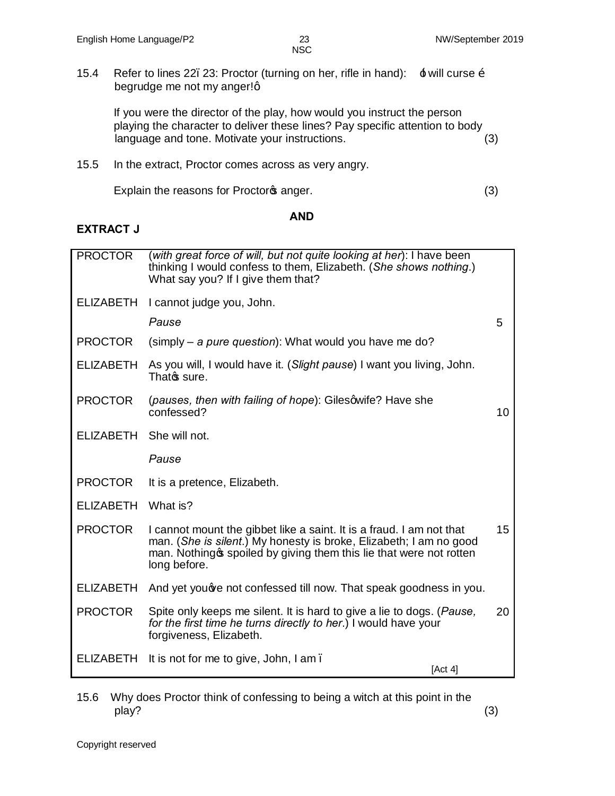15.4 Refer to lines 22. 23: Proctor (turning on her, rifle in hand):  $\pm$  will curse  $\tilde{o}$ begrudge me not my anger!q

If you were the director of the play, how would you instruct the person playing the character to deliver these lines? Pay specific attention to body language and tone. Motivate your instructions. (3)

**AND**

15.5 In the extract, Proctor comes across as very angry.

Explain the reasons for Proctor  $\phi$  anger. (3)

## **EXTRACT J**

| <b>PROCTOR</b>   | (with great force of will, but not quite looking at her): I have been<br>thinking I would confess to them, Elizabeth. (She shows nothing.)<br>What say you? If I give them that?                                                   |                 |
|------------------|------------------------------------------------------------------------------------------------------------------------------------------------------------------------------------------------------------------------------------|-----------------|
| <b>ELIZABETH</b> | I cannot judge you, John.                                                                                                                                                                                                          |                 |
|                  | Pause                                                                                                                                                                                                                              | 5               |
| <b>PROCTOR</b>   | (simply $-$ a pure question): What would you have me do?                                                                                                                                                                           |                 |
| <b>ELIZABETH</b> | As you will, I would have it. (Slight pause) I want you living, John.<br>That <sub>s</sub> sure.                                                                                                                                   |                 |
| <b>PROCTOR</b>   | (pauses, then with failing of hope): Gilesqwife? Have she<br>confessed?                                                                                                                                                            | 10 <sup>1</sup> |
| <b>ELIZABETH</b> | She will not.                                                                                                                                                                                                                      |                 |
|                  | Pause                                                                                                                                                                                                                              |                 |
| <b>PROCTOR</b>   | It is a pretence, Elizabeth.                                                                                                                                                                                                       |                 |
| ELIZABETH        | What is?                                                                                                                                                                                                                           |                 |
| <b>PROCTOR</b>   | I cannot mount the gibbet like a saint. It is a fraud. I am not that<br>man. (She is silent.) My honesty is broke, Elizabeth; I am no good<br>man. Nothing of spoiled by giving them this lie that were not rotten<br>long before. | 15              |
| <b>ELIZABETH</b> | And yet yougher not confessed till now. That speak goodness in you.                                                                                                                                                                |                 |
| <b>PROCTOR</b>   | Spite only keeps me silent. It is hard to give a lie to dogs. (Pause,<br>for the first time he turns directly to her.) I would have your<br>forgiveness, Elizabeth.                                                                | 20              |
|                  | ELIZABETH It is not for me to give, John, I am.<br>[Act 4]                                                                                                                                                                         |                 |

<sup>15.6</sup> Why does Proctor think of confessing to being a witch at this point in the play? (3)